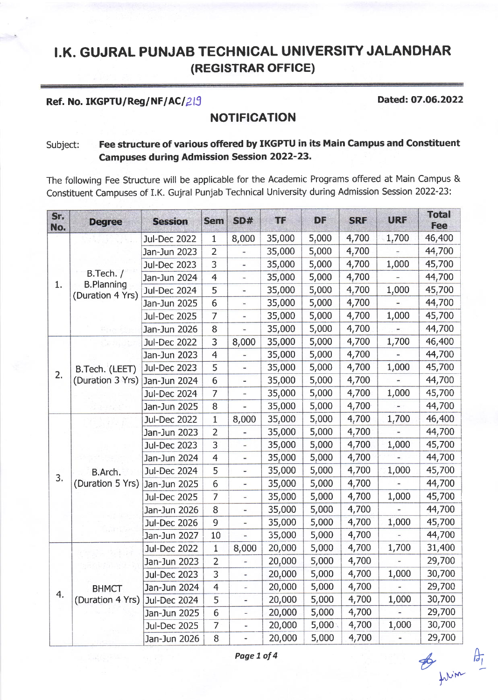# I.K. GUJRAL PUNJAB TECHNICAL UNIVERSITY JALANDHAR (REGISTRAR OFFICE)

# Ref. No. IKGPTU/Reg/NF/AC/ $\beta$ l $\beta$  Dated: 07.06.2022

# **NOTIFICATION**

## Subject: Fee structure of various offered by IKGPTU in its Main Campus and Constituent Campuses during Admission Session 2022'23.

The following Fee Structure will be applicable for the Academic Programs offered at Main Campus & Constituent Campuses of I.K. Gujral Punjab Technical University during Admission Session 2022-23:

| Sr.<br>No. | <b>Degree</b>                  | <b>Session</b>      | <b>Sem</b>      | SD#                          | <b>TF</b> | <b>DF</b> | <b>SRF</b> | <b>URF</b> | <b>Total</b><br>Fee                                                                    |
|------------|--------------------------------|---------------------|-----------------|------------------------------|-----------|-----------|------------|------------|----------------------------------------------------------------------------------------|
|            |                                | <b>Jul-Dec 2022</b> | $\mathbf{1}$    | 8,000                        | 35,000    | 5,000     | 4,700      | 1,700      | 46,400                                                                                 |
|            |                                | Jan-Jun 2023        | $\overline{2}$  | $\frac{1}{2}$                | 35,000    | 5,000     | 4,700      |            | 44,700                                                                                 |
|            |                                | <b>Jul-Dec 2023</b> | $\overline{3}$  | $\overline{\phantom{0}}$     | 35,000    | 5,000     | 4,700      | 1,000      | 45,700                                                                                 |
| 1.         | B.Tech. /<br><b>B.Planning</b> | Jan-Jun 2024        | $\overline{4}$  | ٠                            | 35,000    | 5,000     | 4,700      |            | 44,700                                                                                 |
|            | (Duration 4 Yrs)               | <b>Jul-Dec 2024</b> | 5               | ۰                            | 35,000    | 5,000     | 4,700      | 1,000      | 45,700                                                                                 |
|            |                                | Jan-Jun 2025        | $6 \overline{}$ | $\blacksquare$               | 35,000    | 5,000     | 4,700      |            | 44,700                                                                                 |
|            |                                | <b>Jul-Dec 2025</b> | $\overline{7}$  | $\frac{1}{2}$                | 35,000    | 5,000     | 4,700      | 1,000      | 45,700                                                                                 |
|            |                                | Jan-Jun 2026        | 8               | ٠                            | 35,000    | 5,000     | 4,700      |            | 44,700                                                                                 |
|            |                                | <b>Jul-Dec 2022</b> | 3               | 8,000                        | 35,000    | 5,000     | 4,700      | 1,700      | 46,400                                                                                 |
|            |                                | Jan-Jun 2023        | $\overline{4}$  |                              | 35,000    | 5,000     | 4,700      |            | 44,700                                                                                 |
| 2.         | B.Tech. (LEET)                 | <b>Jul-Dec 2023</b> | 5               | $\qquad \qquad \blacksquare$ | 35,000    | 5,000     | 4,700      | 1,000      | 45,700                                                                                 |
|            | (Duration 3 Yrs)               | Jan-Jun 2024        | $6\phantom{1}$  | $\blacksquare$               | 35,000    | 5,000     | 4,700      |            | 44,700                                                                                 |
|            |                                | <b>Jul-Dec 2024</b> | $\overline{7}$  | ×,                           | 35,000    | 5,000     | 4,700      | 1,000      | 45,700                                                                                 |
|            |                                | Jan-Jun 2025        | 8               | Ξ                            | 35,000    | 5,000     | 4,700      | ÷,         | 44,700                                                                                 |
|            |                                | <b>Jul-Dec 2022</b> | $\mathbf{1}$    | 8,000                        | 35,000    | 5,000     | 4,700      | 1,700      | 46,400                                                                                 |
|            |                                | Jan-Jun 2023        | $\overline{2}$  | $\qquad \qquad \blacksquare$ | 35,000    | 5,000     | 4,700      |            | 44,700                                                                                 |
|            |                                | <b>Jul-Dec 2023</b> | 3               | $\blacksquare$               | 35,000    | 5,000     | 4,700      | 1,000      | 45,700                                                                                 |
|            |                                | Jan-Jun 2024        | $\overline{4}$  | ÷                            | 35,000    | 5,000     | 4,700      |            | 44,700                                                                                 |
| 3.         | B.Arch.                        | <b>Jul-Dec 2024</b> | 5               | $\frac{1}{2}$                | 35,000    | 5,000     | 4,700      | 1,000      | 45,700                                                                                 |
|            | (Duration 5 Yrs)               | Jan-Jun 2025        | $\overline{6}$  | ۰                            | 35,000    | 5,000     | 4,700      |            | 44,700                                                                                 |
|            |                                | <b>Jul-Dec 2025</b> | $\overline{7}$  | $\blacksquare$               | 35,000    | 5,000     | 4,700      | 1,000      | 45,700                                                                                 |
|            |                                | Jan-Jun 2026        | 8               | ä,                           | 35,000    | 5,000     | 4,700      |            | 44,700                                                                                 |
|            |                                | <b>Jul-Dec 2026</b> | 9               | $\blacksquare$               | 35,000    | 5,000     | 4,700      | 1,000      | 45,700                                                                                 |
|            |                                | Jan-Jun 2027        | 10              | ú,                           | 35,000    | 5,000     | 4,700      |            | 44,700<br>31,400<br>29,700<br>30,700<br>29,700<br>30,700<br>29,700<br>30,700<br>29,700 |
|            |                                | <b>Jul-Dec 2022</b> | $\mathbf{1}$    | 8,000                        | 20,000    | 5,000     | 4,700      | 1,700      |                                                                                        |
|            |                                | Jan-Jun 2023        | $\overline{2}$  | ÷                            | 20,000    | 5,000     | 4,700      |            |                                                                                        |
|            |                                | <b>Jul-Dec 2023</b> | 3               | Ξ.                           | 20,000    | 5,000     | 4,700      | 1,000      |                                                                                        |
| 4.         | <b>BHMCT</b>                   | Jan-Jun 2024        | $\overline{4}$  | ÷.                           | 20,000    | 5,000     | 4,700      |            |                                                                                        |
|            | (Duration 4 Yrs)               | <b>Jul-Dec 2024</b> | 5               | ä,                           | 20,000    | 5,000     | 4,700      | 1,000      |                                                                                        |
|            |                                | Jan-Jun 2025        | 6               | ä,                           | 20,000    | 5,000     | 4,700      |            |                                                                                        |
|            |                                | <b>Jul-Dec 2025</b> | $\overline{7}$  | ÷                            | 20,000    | 5,000     | 4,700      | 1,000      |                                                                                        |
|            |                                | Jan-Jun 2026        | 8               | $\blacksquare$               | 20,000    | 5,000     | 4,700      |            |                                                                                        |

Page 1 of 4 from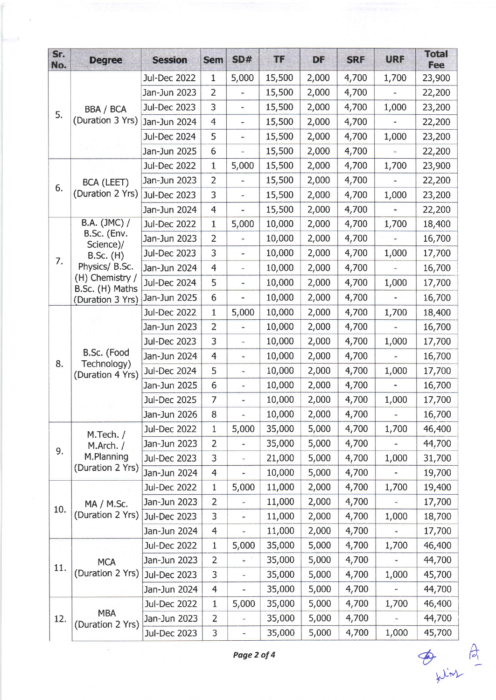| Sr.<br>No. | <b>Degree</b>                                  | <b>Session</b>      | <b>Sem</b>     | SD#                      | <b>TF</b> | DF    | <b>SRF</b> | <b>URF</b> | <b>Total</b><br>Fee |
|------------|------------------------------------------------|---------------------|----------------|--------------------------|-----------|-------|------------|------------|---------------------|
|            |                                                | <b>Jul-Dec 2022</b> | $\mathbf 1$    | 5,000                    | 15,500    | 2,000 | 4,700      | 1,700      | 23,900              |
|            |                                                | Jan-Jun 2023        | 2              | ۰                        | 15,500    | 2,000 | 4,700      |            | 22,200              |
|            | <b>BBA / BCA</b>                               | <b>Jul-Dec 2023</b> | 3              | $\blacksquare$           | 15,500    | 2,000 | 4,700      | 1,000      | 23,200              |
| 5.         | (Duration 3 Yrs)                               | Jan-Jun 2024        | $\overline{4}$ | ۰                        | 15,500    | 2,000 | 4,700      |            | 22,200              |
|            |                                                | <b>Jul-Dec 2024</b> | 5              | $\overline{\phantom{0}}$ | 15,500    | 2,000 | 4,700      | 1,000      | 23,200              |
|            |                                                | Jan-Jun 2025        | 6              |                          | 15,500    | 2,000 | 4,700      |            | 22,200              |
|            |                                                | <b>Jul-Dec 2022</b> | $\mathbf{1}$   | 5,000                    | 15,500    | 2,000 | 4,700      | 1,700      | 23,900              |
|            | <b>BCA (LEET)</b>                              | Jan-Jun 2023        | $\overline{2}$ | ÷                        | 15,500    | 2,000 | 4,700      |            | 22,200              |
| 6.         | (Duration 2 Yrs)                               | <b>Jul-Dec 2023</b> | 3              | $\overline{a}$           | 15,500    | 2,000 | 4,700      | 1,000      | 23,200              |
|            |                                                | Jan-Jun 2024        | $\overline{4}$ |                          | 15,500    | 2,000 | 4,700      |            | 22,200              |
|            | B.A. (JMC) /                                   | <b>Jul-Dec 2022</b> | $\mathbf{1}$   | 5,000                    | 10,000    | 2,000 | 4,700      | 1,700      | 18,400              |
|            | B.Sc. (Env.<br>Science)/                       | Jan-Jun 2023        | $\overline{2}$ | $\overline{a}$           | 10,000    | 2,000 | 4,700      |            | 16,700              |
|            | <b>B.Sc.</b> (H)                               | <b>Jul-Dec 2023</b> | 3              | $\blacksquare$           | 10,000    | 2,000 | 4,700      | 1,000      | 17,700              |
| 7.         | Physics/ B.Sc.                                 | Jan-Jun 2024        | $\overline{4}$ | ۰                        | 10,000    | 2,000 | 4,700      |            | 16,700              |
|            | (H) Chemistry /<br>B.Sc. (H) Maths             | <b>Jul-Dec 2024</b> | 5              | $\frac{1}{2}$            | 10,000    | 2,000 | 4,700      | 1,000      | 17,700              |
|            | (Duration 3 Yrs)                               | Jan-Jun 2025        | 6              | ÷,                       | 10,000    | 2,000 | 4,700      |            | 16,700              |
|            |                                                | <b>Jul-Dec 2022</b> | 1              | 5,000                    | 10,000    | 2,000 | 4,700      | 1,700      | 18,400              |
|            |                                                | Jan-Jun 2023        | $\overline{2}$ | Ξ                        | 10,000    | 2,000 | 4,700      |            | 16,700              |
|            | B.Sc. (Food<br>Technology)<br>(Duration 4 Yrs) | <b>Jul-Dec 2023</b> | 3              | $\blacksquare$           | 10,000    | 2,000 | 4,700      | 1,000      | 17,700              |
|            |                                                | Jan-Jun 2024        | 4              | $\overline{\phantom{0}}$ | 10,000    | 2,000 | 4,700      |            | 16,700              |
| 8.         |                                                | <b>Jul-Dec 2024</b> | 5              | $\overline{\phantom{0}}$ | 10,000    | 2,000 | 4,700      | 1,000      | 17,700              |
|            |                                                | Jan-Jun 2025        | 6              | ۳                        | 10,000    | 2,000 | 4,700      |            | 16,700              |
|            |                                                | <b>Jul-Dec 2025</b> | $\overline{7}$ | ÷                        | 10,000    | 2,000 | 4,700      | 1,000      | 17,700              |
|            |                                                | Jan-Jun 2026        | 8              |                          | 10,000    | 2,000 | 4,700      |            | 16,700              |
|            | M.Tech. /<br>M.Arch. /                         | <b>Jul-Dec 2022</b> | 1              | 5,000                    | 35,000    | 5,000 | 4,700      | 1,700      | 46,400              |
|            |                                                | Jan-Jun 2023        | 2              |                          | 35,000    | 5,000 | 4,700      |            | 44,700              |
| 9.         | M.Planning                                     | <b>Jul-Dec 2023</b> | 3              | ÷                        | 21,000    | 5,000 | 4,700      | 1,000      | 31,700              |
|            | (Duration 2 Yrs)                               | Jan-Jun 2024        | $\overline{4}$ | ÷                        | 10,000    | 5,000 | 4,700      |            | 19,700              |
|            | MA / M.Sc.                                     | <b>Jul-Dec 2022</b> | $\mathbf{1}$   | 5,000                    | 11,000    | 2,000 | 4,700      | 1,700      | 19,400              |
|            |                                                | Jan-Jun 2023        | 2              | Ξ                        | 11,000    | 2,000 | 4,700      |            | 17,700              |
| 10.        | (Duration 2 Yrs)                               | <b>Jul-Dec 2023</b> | 3              | ÷                        | 11,000    | 2,000 | 4,700      | 1,000      | 18,700              |
|            |                                                | Jan-Jun 2024        | 4              | $\overline{\phantom{0}}$ | 11,000    | 2,000 | 4,700      |            | 17,700              |
|            |                                                | <b>Jul-Dec 2022</b> | $\mathbf{1}$   | 5,000                    | 35,000    | 5,000 | 4,700      | 1,700      | 46,400              |
|            | <b>MCA</b>                                     | Jan-Jun 2023        | 2              | $\overline{a}$           | 35,000    | 5,000 | 4,700      | -          | 44,700              |
| 11.        | (Duration 2 Yrs)                               | <b>Jul-Dec 2023</b> | 3              | ۰                        | 35,000    | 5,000 | 4,700      | 1,000      | 45,700              |
|            |                                                | Jan-Jun 2024        | 4              | -                        | 35,000    | 5,000 | 4,700      |            | 44,700              |
|            |                                                | <b>Jul-Dec 2022</b> | $\mathbf{1}$   | 5,000                    | 35,000    | 5,000 | 4,700      | 1,700      | 46,400              |
| 12.        | <b>MBA</b><br>(Duration 2 Yrs)                 | Jan-Jun 2023        | $\overline{2}$ | ÷                        | 35,000    | 5,000 | 4,700      |            | 44,700              |
|            |                                                | <b>Jul-Dec 2023</b> | 3              | -                        | 35,000    | 5,000 | 4,700      | 1,000      | 45,700              |

 $\overline{\phantom{a}}$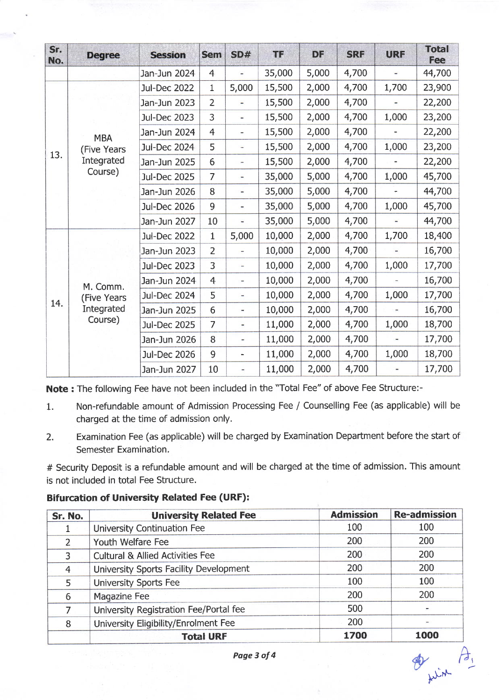| Sr.<br>No. | <b>Degree</b> | <b>Session</b>      | <b>Sem</b>     | SD#                          | <b>TF</b> | DF    | <b>SRF</b> | <b>URF</b>                   | <b>Total</b><br><b>Fee</b> |
|------------|---------------|---------------------|----------------|------------------------------|-----------|-------|------------|------------------------------|----------------------------|
|            |               | Jan-Jun 2024        | $\overline{4}$ | $\qquad \qquad$              | 35,000    | 5,000 | 4,700      | u,                           | 44,700                     |
|            |               | <b>Jul-Dec 2022</b> | $\mathbf 1$    | 5,000                        | 15,500    | 2,000 | 4,700      | 1,700                        | 23,900                     |
|            |               | Jan-Jun 2023        | $\overline{2}$ | $\frac{1}{2}$                | 15,500    | 2,000 | 4,700      |                              | 22,200                     |
|            |               | <b>Jul-Dec 2023</b> | 3              | $\overline{\phantom{0}}$     | 15,500    | 2,000 | 4,700      | 1,000                        | 23,200                     |
|            | <b>MBA</b>    | Jan-Jun 2024        | $\overline{4}$ | $\overline{\phantom{a}}$     | 15,500    | 2,000 | 4,700      | $\qquad \qquad \blacksquare$ | 22,200                     |
|            | (Five Years   | <b>Jul-Dec 2024</b> | 5              | ä,                           | 15,500    | 2,000 | 4,700      | 1,000                        | 23,200                     |
| 13.        | Integrated    | Jan-Jun 2025        | 6              | $\overline{a}$               | 15,500    | 2,000 | 4,700      |                              | 22,200                     |
|            | Course)       | <b>Jul-Dec 2025</b> | $\overline{7}$ | $\frac{1}{2}$                | 35,000    | 5,000 | 4,700      | 1,000                        | 45,700                     |
|            |               | Jan-Jun 2026        | 8              | $\blacksquare$               | 35,000    | 5,000 | 4,700      |                              | 44,700                     |
|            |               | <b>Jul-Dec 2026</b> | 9              | $\qquad \qquad \blacksquare$ | 35,000    | 5,000 | 4,700      | 1,000                        | 45,700                     |
|            |               | Jan-Jun 2027        | 10             | ω                            | 35,000    | 5,000 | 4,700      |                              | 44,700                     |
| 14.        |               | <b>Jul-Dec 2022</b> | $\mathbf{1}$   | 5,000                        | 10,000    | 2,000 | 4,700      | 1,700                        | 18,400                     |
|            |               | Jan-Jun 2023        | 2              | -                            | 10,000    | 2,000 | 4,700      |                              | 16,700                     |
|            |               | <b>Jul-Dec 2023</b> | 3              | $\frac{1}{2}$                | 10,000    | 2,000 | 4,700      | 1,000                        | 17,700                     |
|            | M. Comm.      | Jan-Jun 2024        | $\overline{4}$ | -                            | 10,000    | 2,000 | 4,700      |                              | 16,700                     |
|            | (Five Years   | <b>Jul-Dec 2024</b> | 5              | $\frac{1}{2}$                | 10,000    | 2,000 | 4,700      | 1,000                        | 17,700                     |
|            | Integrated    | Jan-Jun 2025        | 6              | ٠                            | 10,000    | 2,000 | 4,700      | $\overline{a}$               | 16,700                     |
|            | Course)       | <b>Jul-Dec 2025</b> | $\overline{7}$ |                              | 11,000    | 2,000 | 4,700      | 1,000                        | 18,700                     |
|            |               | Jan-Jun 2026        | 8              | ÷                            | 11,000    | 2,000 | 4,700      | $\qquad \qquad \blacksquare$ | 17,700                     |
|            |               | <b>Jul-Dec 2026</b> | 9              | ÷,                           | 11,000    | 2,000 | 4,700      | 1,000                        | 18,700                     |
|            |               | Jan-Jun 2027        | 10             | ٠                            | 11,000    | 2,000 | 4,700      |                              | 17,700                     |

Note : The following Fee have not been included in the "Total Fee" of above Fee Structure:-

- 1. Non-refundable amount of Admission Processing Fee / Counselling Fee (as applicable) will be charged at the time of admission only.
- 2. Examination Fee (as applicable) will be charged by Examination Department before the start of Semester Examination.

# Security Deposit is a refundable amount and will be charged at the time of admission. This amount is not included in total Fee Structure,

Bifurcation of University Related Fee (URF):

| Sr. No.       | <b>University Related Fee</b>               | <b>Admission</b> | <b>Re-admission</b> |
|---------------|---------------------------------------------|------------------|---------------------|
|               | University Continuation Fee                 | 100              | 100                 |
| $\mathcal{L}$ | Youth Welfare Fee                           | 200              | 200                 |
| 3             | <b>Cultural &amp; Allied Activities Fee</b> | 200              | 200                 |
| 4             | University Sports Facility Development      | 200              | 200                 |
| 5             | University Sports Fee                       | 100              | 100                 |
| 6             | Magazine Fee                                | 200              | 200                 |
|               | University Registration Fee/Portal fee      | 500              |                     |
| 8             | University Eligibility/Enrolment Fee        | 200              |                     |
|               | <b>Total URF</b>                            | 1700             | 1000                |